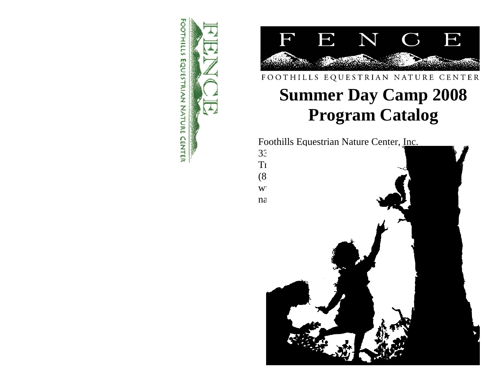



## FOOTHILLS EQUESTRIAN NATURE CENTER

# **Summer Day Camp 2008 Program Catalog**

Foothills Equestrian Nature Center, Inc.<br>33

- $T<sub>1</sub>$
- $(8)$
- $W$
- $33$  $na \rightarrow \infty$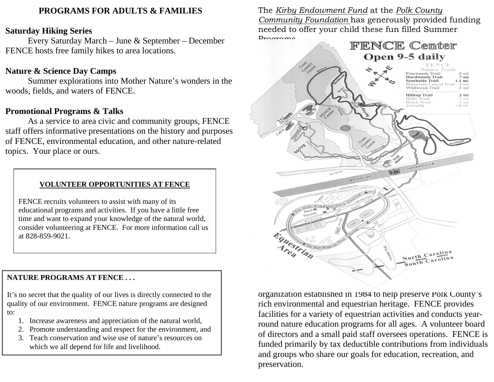### **PROGRAMS FOR ADULTS & FAMILIES**

### **Saturday Hiking Series**

 Every Saturday March – June & September – December FENCE hosts free family hikes to area locations.

## **Nature & Science Day Camps**

 Summer explorations into Mother Nature's wonders in the woods, fields, and waters of FENCE.

## **Promotional Programs & Talks**

 As a service to area civic and community groups, FENCE staff offers informative presentations on the history and purposes of FENCE, environmental education, and other nature-related topics. Your place or ours.

### **VOLUNTEER OPPORTUNITIES AT FENCE**

FENCE recruits volunteers to assist with many of its educational programs and activities. If you have a little free time and want to expand your knowledge of the natural world, consider volunteering at FENCE. For more information call us at 828-859-9021.

### **NATURE PROGRAMS AT FENCE . . .**

It's no secret that the quality of our lives is directly connected to the quality of our environment. FENCE nature programs are designed to:

- 1. Increase awareness and appreciation of the natural world,
- 2. Promote understanding and respect for the environment, and
- 3. Teach conservation and wise use of nature's resources on which we all depend for life and livelihood.

The *Kirby Endowment Fund* at the *Polk County Community Foundation* has generously provided funding needed to offer your child these fun filled Summer Drograms



organization established in 1984 to help preserve Polk County's rich environmental and equestrian heritage. FENCE provides facilities for a variety of equestrian activities and conducts yearround nature education programs for all ages. A volunteer board of directors and a small paid staff oversees operations. FENCE is funded primarily by tax deductible contributions from individuals and groups who share our goals for education, recreation, and preservation.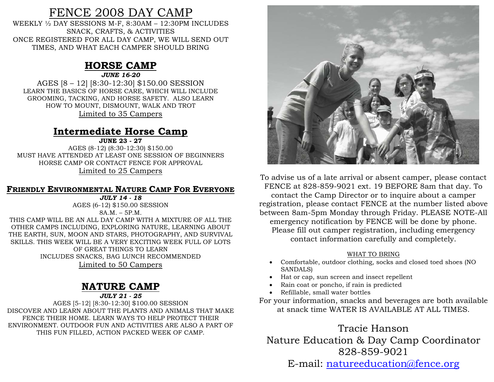## FENCE 2008 DAY CAMP

WEEKLY ½ DAY SESSIONS M-F, 8:30AM – 12:30PM INCLUDES SNACK, CRAFTS, & ACTIVITIES ONCE REGISTERED FOR ALL DAY CAMP, WE WILL SEND OUT TIMES, AND WHAT EACH CAMPER SHOULD BRING

## **HORSE CAMP**

*JUNE 16-20* 

AGES [8 – 12] [8:30-12:30] \$150.00 SESSION LEARN THE BASICS OF HORSE CARE, WHICH WILL INCLUDE GROOMING, TACKING, AND HORSE SAFETY. ALSO LEARN HOW TO MOUNT, DISMOUNT, WALK AND TROT Limited to 35 Campers

## **Intermediate Horse Camp**

**JUNE 23 - 27**  AGES (8-12) (8:30-12:30) \$150.00 MUST HAVE ATTENDED AT LEAST ONE SESSION OF BEGINNERS HORSE CAMP OR CONTACT FENCE FOR APPROVAL Limited to 25 Campers

### **FRIENDLY ENVIRONMENTAL NATURE CAMP FOR EVERYONE**

*JULY 14 - 18*  AGES (6-12) \$150.00 SESSION 8A.M. – 5P.M. THIS CAMP WILL BE AN ALL DAY CAMP WITH A MIXTURE OF ALL THE OTHER CAMPS INCLUDING, EXPLORING NATURE, LEARNING ABOUT THE EARTH, SUN, MOON AND STARS, PHOTOGRAPHY, AND SURVIVAL SKILLS. THIS WEEK WILL BE A VERY EXCITING WEEK FULL OF LOTS OF GREAT THINGS TO LEARN INCLUDES SNACKS, BAG LUNCH RECOMMENDED Limited to 50 Campers

## **NATURE CAMP**

#### *JULY 21 - 25*

AGES [5-12] [8:30-12:30] \$100.00 SESSION DISCOVER AND LEARN ABOUT THE PLANTS AND ANIMALS THAT MAKE FENCE THEIR HOME. LEARN WAYS TO HELP PROTECT THEIR ENVIRONMENT. OUTDOOR FUN AND ACTIVITIES ARE ALSO A PART OF THIS FUN FILLED, ACTION PACKED WEEK OF CAMP.



To advise us of a late arrival or absent camper, please contact FENCE at 828-859-9021 ext. 19 BEFORE 8am that day. To contact the Camp Director or to inquire about a camper registration, please contact FENCE at the number listed above between 8am-5pm Monday through Friday. PLEASE NOTE-All emergency notification by FENCE will be done by phone. Please fill out camper registration, including emergency contact information carefully and completely.

#### WHAT TO BRING

- Comfortable, outdoor clothing, socks and closed toed shoes (NO SANDALS)
- Hat or cap, sun screen and insect repellent
- Rain coat or poncho, if rain is predicted
- Refillable, small water bottles

For your information, snacks and beverages are both available at snack time WATER IS AVAILABLE AT ALL TIMES.

Tracie Hanson Nature Education & Day Camp Coordinator 828-859-9021

E-mail: [natureeducation@fence.org](mailto:natureeducation@fence.org)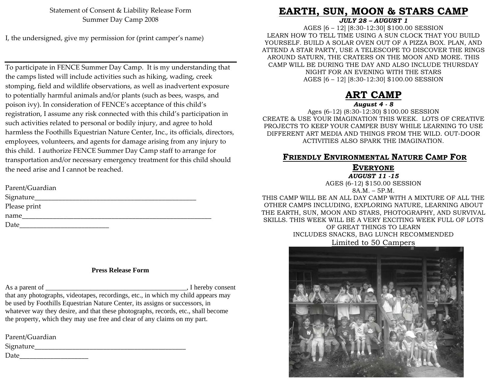Statement of Consent & Liability Release Form Summer Day Camp 2008

I, the undersigned, give my permission for (print camper's name)

To participate in FENCE Summer Day Camp. It is my understanding that the camps listed will include activities such as hiking, wading, creek stomping, field and wildlife observations, as well as inadvertent exposure to potentially harmful animals and/or plants (such as bees, wasps, and poison ivy). In consideration of FENCE's acceptance of this child's registration, I assume any risk connected with this child's participation in such activities related to personal or bodily injury, and agree to hold harmless the Foothills Equestrian Nature Center, Inc., its officials, directors, employees, volunteers, and agents for damage arising from any injury to this child. I authorize FENCE Summer Day Camp staff to arrange for transportation and/or necessary emergency treatment for this child should the need arise and I cannot be reached.

| Signature_   |
|--------------|
| Please print |
| name         |
| Date         |

#### **Press Release Form**

As a parent of  $\blacksquare$ . I hereby consent that any photographs, videotapes, recordings, etc., in which my child appears may be used by Foothills Equestrian Nature Center, its assigns or successors, in whatever way they desire, and that these photographs, records, etc., shall become the property, which they may use free and clear of any claims on my part.

Parent/Guardian

Signature\_\_\_\_\_\_\_\_\_\_\_\_\_\_\_\_\_\_\_\_\_\_\_\_\_\_\_\_\_\_\_\_\_\_\_\_\_\_\_\_\_\_\_\_

Date\_\_\_\_\_\_\_\_\_\_\_\_\_\_\_\_\_\_\_\_

## **EARTH, SUN, MOON & STARS CAMP**

*JULY 28 – AUGUST 1* 

AGES [6 – 12] [8:30-12:30] \$100.00 SESSION LEARN HOW TO TELL TIME USING A SUN CLOCK THAT YOU BUILD YOURSELF. BUILD A SOLAR OVEN OUT OF A PIZZA BOX. PLAN, AND ATTEND A STAR PARTY, USE A TELESCOPE TO DISCOVER THE RINGS AROUND SATURN, THE CRATERS ON THE MOON AND MORE. THIS CAMP WILL BE DURING THE DAY AND ALSO INCLUDE THURSDAY NIGHT FOR AN EVENING WITH THE STARS AGES [6 – 12] [8:30-12:30] \$100.00 SESSION

#### **ART CAMP***August 4 - 8*

Ages (6-12) (8:30-12:30) \$100.00 SESSION CREATE & USE YOUR IMAGINATION THIS WEEK. LOTS OF CREATIVE PROJECTS TO KEEP YOUR CAMPER BUSY WHILE LEARNING TO USE DIFFERENT ART MEDIA AND THINGS FROM THE WILD. OUT-DOOR ACTIVITIES ALSO SPARK THE IMAGINATION.

#### **FRIENDLY ENVIRONMENTAL NATURE CAMP FOR**

#### **EVERYONE**

*AUGUST 11 -15* 

AGES (6-12) \$150.00 SESSION

8A.M. – 5P.M.

THIS CAMP WILL BE AN ALL DAY CAMP WITH A MIXTURE OF ALL THE OTHER CAMPS INCLUDING, EXPLORING NATURE, LEARNING ABOUT THE EARTH, SUN, MOON AND STARS, PHOTOGRAPHY, AND SURVIVAL SKILLS. THIS WEEK WILL BE A VERY EXCITING WEEK FULL OF LOTS OF GREAT THINGS TO LEARN INCLUDES SNACKS, BAG LUNCH RECOMMENDED

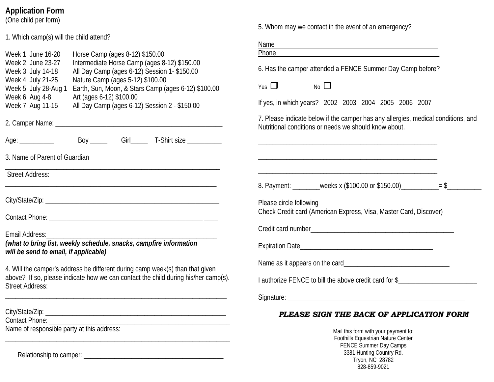## **Application Form**

(One child per form)

1. Which camp(s) will the child attend?

|                                                                                                                                                                                                                                      | Name<br>Phone                                                                                                                              |
|--------------------------------------------------------------------------------------------------------------------------------------------------------------------------------------------------------------------------------------|--------------------------------------------------------------------------------------------------------------------------------------------|
| Horse Camp (ages 8-12) \$150.00<br>Week 1: June 16-20<br>Intermediate Horse Camp (ages 8-12) \$150.00<br>Week 2: June 23-27<br>All Day Camp (ages 6-12) Session 1- \$150.00<br>Week 3: July 14-18                                    | 6. Has the camper attended a FENCE Summer Day Camp before?                                                                                 |
| Nature Camp (ages 5-12) \$100.00<br>Week 4: July 21-25<br>Earth, Sun, Moon, & Stars Camp (ages 6-12) \$100.00<br>Week 5: July 28-Aug 1<br>Week 6: Aug 4-8<br>Art (ages 6-12) \$100.00                                                | Yes $\Box$<br>$No$ $\Box$                                                                                                                  |
| All Day Camp (ages 6-12) Session 2 - \$150.00<br>Week 7: Aug 11-15                                                                                                                                                                   | If yes, in which years? 2002 2003 2004 2005 2006 2007                                                                                      |
|                                                                                                                                                                                                                                      | 7. Please indicate below if the camper has any allergies, medical conditions, and<br>Nutritional conditions or needs we should know about. |
| Age: ____________ Boy ______ Girl_____ T-Shirt size _________                                                                                                                                                                        |                                                                                                                                            |
| 3. Name of Parent of Guardian                                                                                                                                                                                                        |                                                                                                                                            |
| <b>Street Address:</b>                                                                                                                                                                                                               |                                                                                                                                            |
|                                                                                                                                                                                                                                      | 8. Payment: ________weeks x (\$100.00 or \$150.00)___________= \$_                                                                         |
|                                                                                                                                                                                                                                      | Please circle following                                                                                                                    |
|                                                                                                                                                                                                                                      | Check Credit card (American Express, Visa, Master Card, Discover)                                                                          |
|                                                                                                                                                                                                                                      |                                                                                                                                            |
| (what to bring list, weekly schedule, snacks, campfire information<br>will be send to email, if applicable)                                                                                                                          |                                                                                                                                            |
| 4. Will the camper's address be different during camp week(s) than that given                                                                                                                                                        |                                                                                                                                            |
| above? If so, please indicate how we can contact the child during his/her camp(s).<br><b>Street Address:</b><br><u> 1989 - Johann John Stone, markin film ar yn y brenin y brenin y brenin y brenin y brenin y brenin y brenin y</u> | I authorize FENCE to bill the above credit card for \$                                                                                     |
|                                                                                                                                                                                                                                      |                                                                                                                                            |
|                                                                                                                                                                                                                                      | PLEASE SIGN THE BACK OF APPLICATION FORM                                                                                                   |

#### *PLEASE SIGN THE BACK OF APPLICATION FORM*

5. Whom may we contact in the event of an emergency?

Mail this form with your payment to: Foothills Equestrian Nature Center FENCE Summer Day Camps 3381 Hunting Country Rd. Tryon, NC 28782 828-859-9021

Relationship to camper: \_\_\_\_\_\_\_\_\_\_\_\_\_\_\_\_\_\_\_\_\_\_\_\_\_\_\_\_\_\_\_\_\_\_\_\_\_\_\_\_\_

Name of responsible party at this address:

Contact Phone: \_\_\_\_\_\_\_\_\_\_\_\_\_\_\_\_\_\_\_\_\_\_\_\_\_\_\_\_\_\_\_\_\_\_\_\_\_\_\_\_\_\_\_\_\_\_\_\_\_\_\_\_\_

\_\_\_\_\_\_\_\_\_\_\_\_\_\_\_\_\_\_\_\_\_\_\_\_\_\_\_\_\_\_\_\_\_\_\_\_\_\_\_\_\_\_\_\_\_\_\_\_\_\_\_\_\_\_\_\_\_\_\_\_\_\_\_\_\_\_